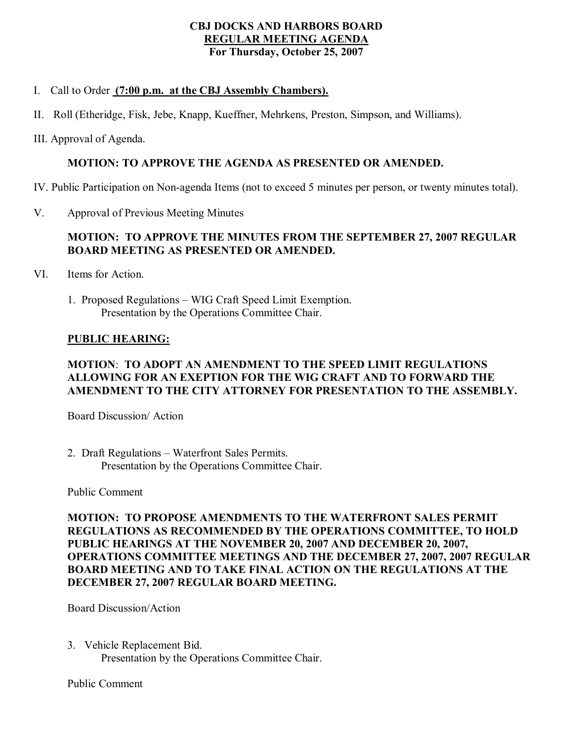### **CBJ DOCKS AND HARBORS BOARD REGULAR MEETING AGENDA For Thursday, October 25, 2007**

### I. Call to Order **(7:00 p.m. at the CBJ Assembly Chambers).**

- II. Roll (Etheridge, Fisk, Jebe, Knapp, Kueffner, Mehrkens, Preston, Simpson, and Williams).
- III. Approval of Agenda.

# **MOTION: TO APPROVE THE AGENDA AS PRESENTED OR AMENDED.**

IV. Public Participation on Nonagenda Items (not to exceed 5 minutes per person, or twenty minutes total).

V. Approval of Previous Meeting Minutes

# **MOTION: TO APPROVE THE MINUTES FROM THE SEPTEMBER 27, 2007 REGULAR BOARD MEETING AS PRESENTED OR AMENDED.**

- VI. Items for Action.
	- 1. Proposed Regulations WIG Craft Speed Limit Exemption. Presentation by the Operations Committee Chair.

### **PUBLIC HEARING:**

# **MOTION**: **TO ADOPT AN AMENDMENT TO THE SPEED LIMIT REGULATIONS ALLOWING FOR AN EXEPTION FOR THE WIG CRAFT AND TO FORWARD THE AMENDMENT TO THE CITY ATTORNEY FOR PRESENTATION TO THE ASSEMBLY.**

Board Discussion/ Action

2. Draft Regulations – Waterfront Sales Permits. Presentation by the Operations Committee Chair.

Public Comment

**MOTION: TO PROPOSE AMENDMENTS TO THE WATERFRONT SALES PERMIT REGULATIONS AS RECOMMENDED BY THE OPERATIONS COMMITTEE, TO HOLD PUBLIC HEARINGS AT THE NOVEMBER 20, 2007 AND DECEMBER 20, 2007, OPERATIONS COMMITTEE MEETINGS AND THE DECEMBER 27, 2007, 2007 REGULAR BOARD MEETING AND TO TAKE FINAL ACTION ON THE REGULATIONS AT THE DECEMBER 27, 2007 REGULAR BOARD MEETING.**

Board Discussion/Action

3. Vehicle Replacement Bid. Presentation by the Operations Committee Chair.

Public Comment